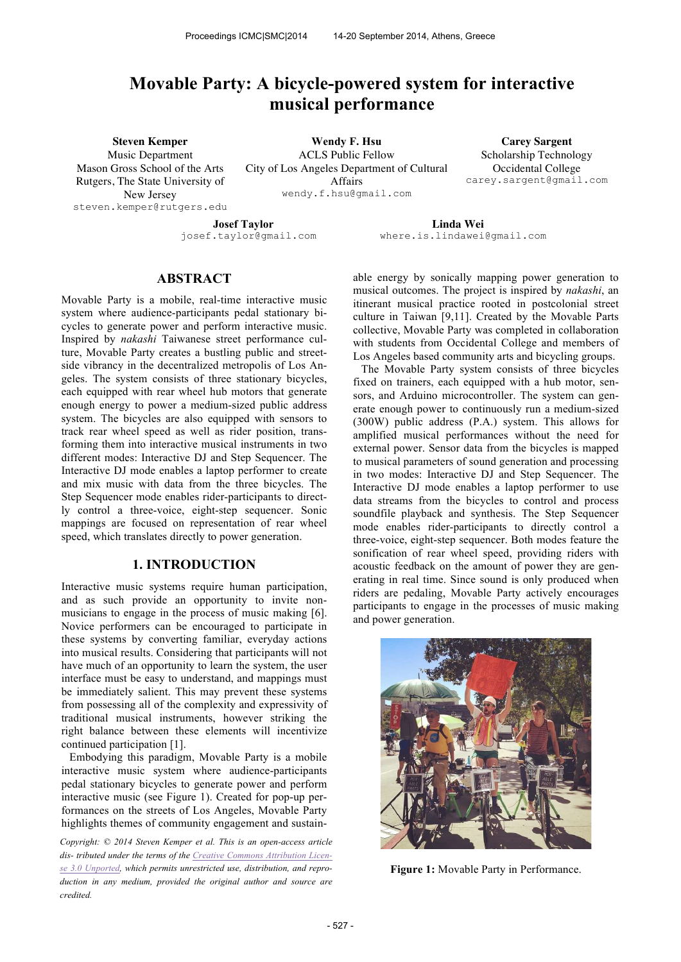# **Movable Party: A bicycle-powered system for interactive musical performance**

**Steven Kemper**

Music Department Mason Gross School of the Arts Rutgers, The State University of New Jersey steven.kemper@rutgers.edu

**Wendy F. Hsu** ACLS Public Fellow City of Los Angeles Department of Cultural Affairs wendy.f.hsu@gmail.com

**Carey Sargent** Scholarship Technology Occidental College carey.sargent@gmail.com

**Josef Taylor** josef.taylor@gmail.com

**Linda Wei** where.is.lindawei@gmail.com

# **ABSTRACT**

Movable Party is a mobile, real-time interactive music system where audience-participants pedal stationary bicycles to generate power and perform interactive music. Inspired by *nakashi* Taiwanese street performance culture, Movable Party creates a bustling public and streetside vibrancy in the decentralized metropolis of Los Angeles. The system consists of three stationary bicycles, each equipped with rear wheel hub motors that generate enough energy to power a medium-sized public address system. The bicycles are also equipped with sensors to track rear wheel speed as well as rider position, transforming them into interactive musical instruments in two different modes: Interactive DJ and Step Sequencer. The Interactive DJ mode enables a laptop performer to create and mix music with data from the three bicycles. The Step Sequencer mode enables rider-participants to directly control a three-voice, eight-step sequencer. Sonic mappings are focused on representation of rear wheel speed, which translates directly to power generation.

# **1. INTRODUCTION**

Interactive music systems require human participation, and as such provide an opportunity to invite nonmusicians to engage in the process of music making [6]. Novice performers can be encouraged to participate in these systems by converting familiar, everyday actions into musical results. Considering that participants will not have much of an opportunity to learn the system, the user interface must be easy to understand, and mappings must be immediately salient. This may prevent these systems from possessing all of the complexity and expressivity of traditional musical instruments, however striking the right balance between these elements will incentivize continued participation [1].

Embodying this paradigm, Movable Party is a mobile interactive music system where audience-participants pedal stationary bicycles to generate power and perform interactive music (see Figure 1). Created for pop-up performances on the streets of Los Angeles, Movable Party highlights themes of community engagement and sustain-

*Copyright: © 2014 Steven Kemper et al. This is an open-access article dis- tributed under the terms of the Creative Commons Attribution License 3.0 Unported, which permits unrestricted use, distribution, and reproduction in any medium, provided the original author and source are credited.*

able energy by sonically mapping power generation to musical outcomes. The project is inspired by *nakashi*, an itinerant musical practice rooted in postcolonial street culture in Taiwan [9,11]. Created by the Movable Parts collective, Movable Party was completed in collaboration with students from Occidental College and members of Los Angeles based community arts and bicycling groups.

The Movable Party system consists of three bicycles fixed on trainers, each equipped with a hub motor, sensors, and Arduino microcontroller. The system can generate enough power to continuously run a medium-sized (300W) public address (P.A.) system. This allows for amplified musical performances without the need for external power. Sensor data from the bicycles is mapped to musical parameters of sound generation and processing in two modes: Interactive DJ and Step Sequencer. The Interactive DJ mode enables a laptop performer to use data streams from the bicycles to control and process soundfile playback and synthesis. The Step Sequencer mode enables rider-participants to directly control a three-voice, eight-step sequencer. Both modes feature the sonification of rear wheel speed, providing riders with acoustic feedback on the amount of power they are generating in real time. Since sound is only produced when riders are pedaling, Movable Party actively encourages participants to engage in the processes of music making and power generation.



**Figure 1:** Movable Party in Performance.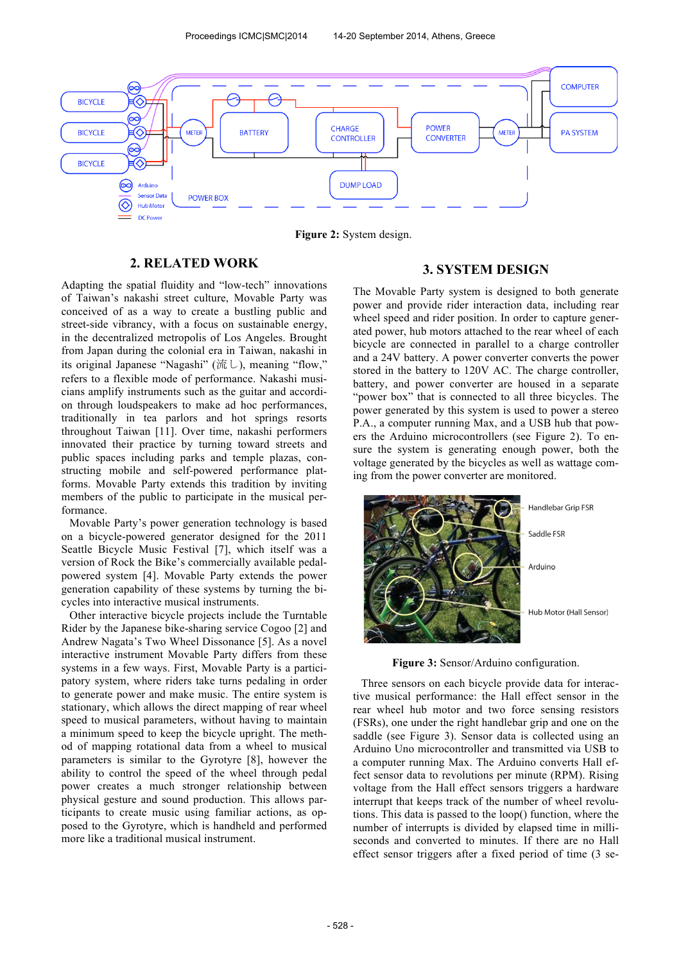

**Figure 2:** System design.

# **2. RELATED WORK**

Adapting the spatial fluidity and "low-tech" innovations of Taiwan's nakashi street culture, Movable Party was conceived of as a way to create a bustling public and street-side vibrancy, with a focus on sustainable energy, in the decentralized metropolis of Los Angeles. Brought from Japan during the colonial era in Taiwan, nakashi in its original Japanese "Nagashi" (流し), meaning "flow," refers to a flexible mode of performance. Nakashi musicians amplify instruments such as the guitar and accordion through loudspeakers to make ad hoc performances, traditionally in tea parlors and hot springs resorts throughout Taiwan [11]. Over time, nakashi performers innovated their practice by turning toward streets and public spaces including parks and temple plazas, constructing mobile and self-powered performance platforms. Movable Party extends this tradition by inviting members of the public to participate in the musical performance.

Movable Party's power generation technology is based on a bicycle-powered generator designed for the 2011 Seattle Bicycle Music Festival [7], which itself was a version of Rock the Bike's commercially available pedalpowered system [4]. Movable Party extends the power generation capability of these systems by turning the bicycles into interactive musical instruments.

Other interactive bicycle projects include the Turntable Rider by the Japanese bike-sharing service Cogoo [2] and Andrew Nagata's Two Wheel Dissonance [5]. As a novel interactive instrument Movable Party differs from these systems in a few ways. First, Movable Party is a participatory system, where riders take turns pedaling in order to generate power and make music. The entire system is stationary, which allows the direct mapping of rear wheel speed to musical parameters, without having to maintain a minimum speed to keep the bicycle upright. The method of mapping rotational data from a wheel to musical parameters is similar to the Gyrotyre [8], however the ability to control the speed of the wheel through pedal power creates a much stronger relationship between physical gesture and sound production. This allows participants to create music using familiar actions, as opposed to the Gyrotyre, which is handheld and performed more like a traditional musical instrument.

### **3. SYSTEM DESIGN**

The Movable Party system is designed to both generate power and provide rider interaction data, including rear wheel speed and rider position. In order to capture generated power, hub motors attached to the rear wheel of each bicycle are connected in parallel to a charge controller and a 24V battery. A power converter converts the power stored in the battery to 120V AC. The charge controller, battery, and power converter are housed in a separate "power box" that is connected to all three bicycles. The power generated by this system is used to power a stereo P.A., a computer running Max, and a USB hub that powers the Arduino microcontrollers (see Figure 2). To ensure the system is generating enough power, both the voltage generated by the bicycles as well as wattage coming from the power converter are monitored.



**Figure 3:** Sensor/Arduino configuration.

Three sensors on each bicycle provide data for interactive musical performance: the Hall effect sensor in the rear wheel hub motor and two force sensing resistors (FSRs), one under the right handlebar grip and one on the saddle (see Figure 3). Sensor data is collected using an Arduino Uno microcontroller and transmitted via USB to a computer running Max. The Arduino converts Hall effect sensor data to revolutions per minute (RPM). Rising voltage from the Hall effect sensors triggers a hardware interrupt that keeps track of the number of wheel revolutions. This data is passed to the loop() function, where the number of interrupts is divided by elapsed time in milliseconds and converted to minutes. If there are no Hall effect sensor triggers after a fixed period of time (3 se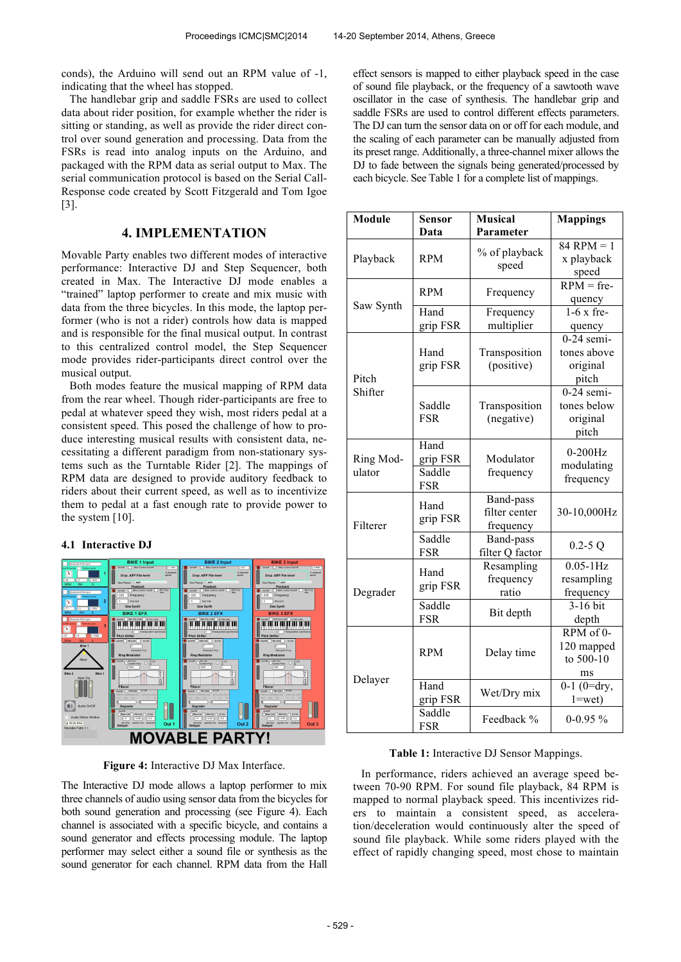conds), the Arduino will send out an RPM value of -1, indicating that the wheel has stopped.

The handlebar grip and saddle FSRs are used to collect data about rider position, for example whether the rider is sitting or standing, as well as provide the rider direct control over sound generation and processing. Data from the FSRs is read into analog inputs on the Arduino, and packaged with the RPM data as serial output to Max. The serial communication protocol is based on the Serial Call-Response code created by Scott Fitzgerald and Tom Igoe [3].

# **4. IMPLEMENTATION**

Movable Party enables two different modes of interactive performance: Interactive DJ and Step Sequencer, both created in Max. The Interactive DJ mode enables a "trained" laptop performer to create and mix music with data from the three bicycles. In this mode, the laptop performer (who is not a rider) controls how data is mapped and is responsible for the final musical output. In contrast to this centralized control model, the Step Sequencer mode provides rider-participants direct control over the musical output.

Both modes feature the musical mapping of RPM data from the rear wheel. Though rider-participants are free to pedal at whatever speed they wish, most riders pedal at a consistent speed. This posed the challenge of how to produce interesting musical results with consistent data, necessitating a different paradigm from non-stationary systems such as the Turntable Rider [2]. The mappings of RPM data are designed to provide auditory feedback to riders about their current speed, as well as to incentivize them to pedal at a fast enough rate to provide power to the system [10].

#### **4.1 Interactive DJ**



**Figure 4:** Interactive DJ Max Interface.

The Interactive DJ mode allows a laptop performer to mix three channels of audio using sensor data from the bicycles for both sound generation and processing (see Figure 4). Each channel is associated with a specific bicycle, and contains a sound generator and effects processing module. The laptop performer may select either a sound file or synthesis as the sound generator for each channel. RPM data from the Hall

effect sensors is mapped to either playback speed in the case of sound file playback, or the frequency of a sawtooth wave oscillator in the case of synthesis. The handlebar grip and saddle FSRs are used to control different effects parameters. The DJ can turn the sensor data on or off for each module, and the scaling of each parameter can be manually adjusted from its preset range. Additionally, a three-channel mixer allows the DJ to fade between the signals being generated/processed by each bicycle. See Table 1 for a complete list of mappings.

| <b>Module</b>       | <b>Sensor</b><br>Data                                              | <b>Musical</b><br>Parameter      | <b>Mappings</b>                                  |
|---------------------|--------------------------------------------------------------------|----------------------------------|--------------------------------------------------|
| Playback            | <b>RPM</b>                                                         | % of playback<br>speed           | $84$ RPM = 1<br>x playback<br>speed              |
| Saw Synth           | <b>RPM</b>                                                         | Frequency                        | $RPM = fre-$<br>quency                           |
|                     | Hand<br>grip FSR                                                   | Frequency<br>multiplier          | $1-6x$ fre-<br>quency                            |
| Pitch<br>Shifter    | Hand<br>grip FSR                                                   | Transposition<br>(positive)      | $0-24$ semi-<br>tones above<br>original<br>pitch |
|                     | Saddle<br><b>FSR</b>                                               | Transposition<br>(negative)      | $0-24$ semi-<br>tones below<br>original<br>pitch |
| Ring Mod-<br>ulator | Hand<br>grip FSR<br>Modulator<br>Saddle<br>frequency<br><b>FSR</b> |                                  | $0-200Hz$<br>modulating<br>frequency             |
| Filterer            | <b>Band-pass</b><br>Hand<br>filter center<br>grip FSR<br>frequency |                                  | 30-10,000Hz                                      |
|                     | Saddle<br><b>FSR</b>                                               | Band-pass<br>filter Q factor     | $0.2 - 5Q$                                       |
| Degrader            | Hand<br>grip FSR                                                   | Resampling<br>frequency<br>ratio | $0.05 - 1$ Hz<br>resampling<br>frequency         |
|                     | Saddle<br><b>FSR</b>                                               | Bit depth                        | 3-16 bit<br>depth                                |
| Delayer             | <b>RPM</b>                                                         | Delay time                       | RPM of 0-<br>120 mapped<br>to 500-10<br>ms       |
|                     | Hand<br>grip FSR                                                   | Wet/Dry mix                      | $0-1$ ( $0=$ dry,<br>$1 = wet$                   |
|                     | Saddle<br><b>FSR</b>                                               | Feedback %                       | $0-0.95\%$                                       |

#### **Table 1:** Interactive DJ Sensor Mappings.

In performance, riders achieved an average speed between 70-90 RPM. For sound file playback, 84 RPM is mapped to normal playback speed. This incentivizes riders to maintain a consistent speed, as acceleration/deceleration would continuously alter the speed of sound file playback. While some riders played with the effect of rapidly changing speed, most chose to maintain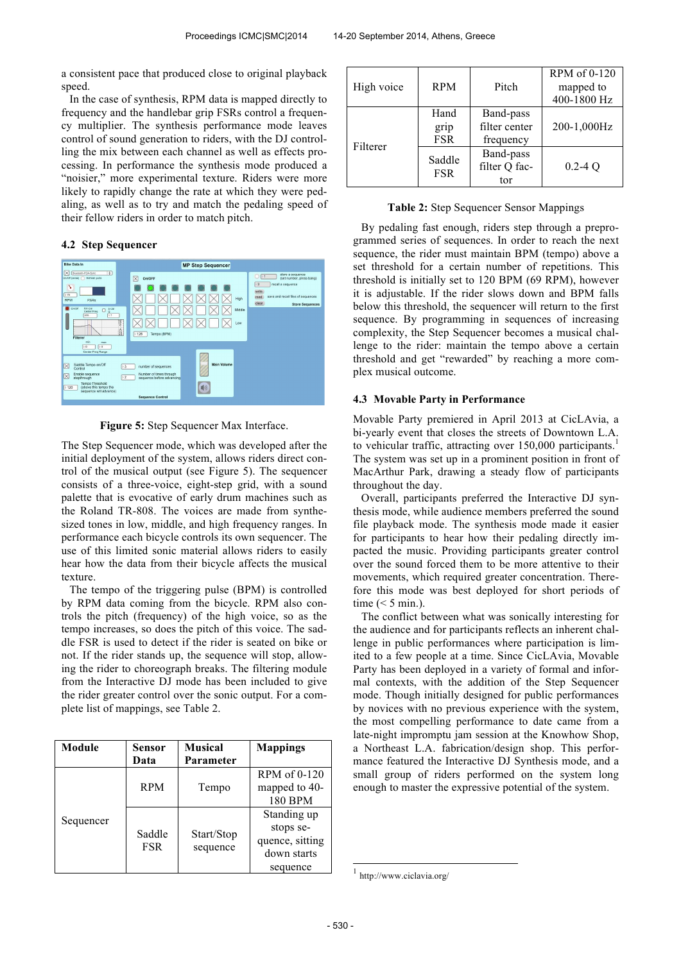a consistent pace that produced close to original playback speed.

In the case of synthesis, RPM data is mapped directly to frequency and the handlebar grip FSRs control a frequency multiplier. The synthesis performance mode leaves control of sound generation to riders, with the DJ controlling the mix between each channel as well as effects processing. In performance the synthesis mode produced a "noisier," more experimental texture. Riders were more likely to rapidly change the rate at which they were pedaling, as well as to try and match the pedaling speed of their fellow riders in order to match pitch.

### **4.2 Step Sequencer**



**Figure 5:** Step Sequencer Max Interface.

The Step Sequencer mode, which was developed after the initial deployment of the system, allows riders direct control of the musical output (see Figure 5). The sequencer consists of a three-voice, eight-step grid, with a sound palette that is evocative of early drum machines such as the Roland TR-808. The voices are made from synthesized tones in low, middle, and high frequency ranges. In performance each bicycle controls its own sequencer. The use of this limited sonic material allows riders to easily hear how the data from their bicycle affects the musical texture.

The tempo of the triggering pulse (BPM) is controlled by RPM data coming from the bicycle. RPM also controls the pitch (frequency) of the high voice, so as the tempo increases, so does the pitch of this voice. The saddle FSR is used to detect if the rider is seated on bike or not. If the rider stands up, the sequence will stop, allowing the rider to choreograph breaks. The filtering module from the Interactive DJ mode has been included to give the rider greater control over the sonic output. For a complete list of mappings, see Table 2.

| Module    | Sensor<br>Data       | <b>Musical</b><br>Parameter | <b>Mappings</b>                                                        |
|-----------|----------------------|-----------------------------|------------------------------------------------------------------------|
| Sequencer | <b>RPM</b>           | Tempo                       | RPM of 0-120<br>mapped to 40-<br>180 BPM                               |
|           | Saddle<br><b>FSR</b> | Start/Stop<br>sequence      | Standing up<br>stops se-<br>quence, sitting<br>down starts<br>sequence |

| High voice | <b>RPM</b>                 | Pitch                                   | RPM of 0-120<br>mapped to<br>400-1800 Hz |
|------------|----------------------------|-----------------------------------------|------------------------------------------|
| Filterer   | Hand<br>grip<br><b>FSR</b> | Band-pass<br>filter center<br>frequency | 200-1,000Hz                              |
|            | Saddle<br><b>FSR</b>       | Band-pass<br>filter Q fac-<br>tor       | $0.2 - 4Q$                               |

|  |  |  |  |  | Table 2: Step Sequencer Sensor Mappings |
|--|--|--|--|--|-----------------------------------------|
|--|--|--|--|--|-----------------------------------------|

By pedaling fast enough, riders step through a preprogrammed series of sequences. In order to reach the next sequence, the rider must maintain BPM (tempo) above a set threshold for a certain number of repetitions. This threshold is initially set to 120 BPM (69 RPM), however it is adjustable. If the rider slows down and BPM falls below this threshold, the sequencer will return to the first sequence. By programming in sequences of increasing complexity, the Step Sequencer becomes a musical challenge to the rider: maintain the tempo above a certain threshold and get "rewarded" by reaching a more complex musical outcome.

#### **4.3 Movable Party in Performance**

Movable Party premiered in April 2013 at CicLAvia, a bi-yearly event that closes the streets of Downtown L.A. to vehicular traffic, attracting over  $150,000$  participants.<sup>1</sup> The system was set up in a prominent position in front of MacArthur Park, drawing a steady flow of participants throughout the day.

Overall, participants preferred the Interactive DJ synthesis mode, while audience members preferred the sound file playback mode. The synthesis mode made it easier for participants to hear how their pedaling directly impacted the music. Providing participants greater control over the sound forced them to be more attentive to their movements, which required greater concentration. Therefore this mode was best deployed for short periods of time  $(< 5$  min.).

The conflict between what was sonically interesting for the audience and for participants reflects an inherent challenge in public performances where participation is limited to a few people at a time. Since CicLAvia, Movable Party has been deployed in a variety of formal and informal contexts, with the addition of the Step Sequencer mode. Though initially designed for public performances by novices with no previous experience with the system, the most compelling performance to date came from a late-night impromptu jam session at the Knowhow Shop, a Northeast L.A. fabrication/design shop. This performance featured the Interactive DJ Synthesis mode, and a small group of riders performed on the system long enough to master the expressive potential of the system.

-

<sup>1</sup> http://www.ciclavia.org/